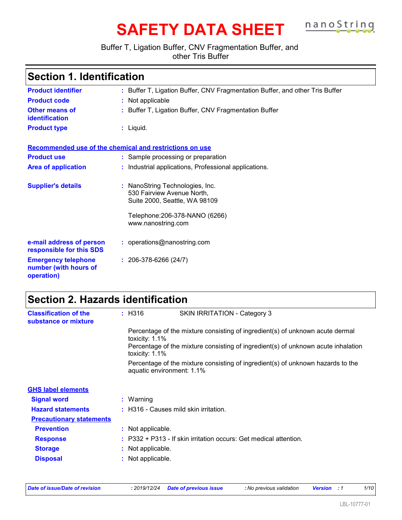# **SAFETY DATA SHEET nanoString**

### Buffer T, Ligation Buffer, CNV Fragmentation Buffer, and other Tris Buffer

| <b>Section 1. Identification</b>                                  |                                                                                                |  |  |  |
|-------------------------------------------------------------------|------------------------------------------------------------------------------------------------|--|--|--|
| <b>Product identifier</b>                                         | : Buffer T, Ligation Buffer, CNV Fragmentation Buffer, and other Tris Buffer                   |  |  |  |
| <b>Product code</b>                                               | : Not applicable                                                                               |  |  |  |
| <b>Other means of</b><br>identification                           | : Buffer T, Ligation Buffer, CNV Fragmentation Buffer                                          |  |  |  |
| <b>Product type</b>                                               | $:$ Liquid.                                                                                    |  |  |  |
|                                                                   | Recommended use of the chemical and restrictions on use                                        |  |  |  |
| <b>Product use</b>                                                | : Sample processing or preparation                                                             |  |  |  |
| <b>Area of application</b>                                        | : Industrial applications, Professional applications.                                          |  |  |  |
| <b>Supplier's details</b>                                         | : NanoString Technologies, Inc.<br>530 Fairview Avenue North,<br>Suite 2000, Seattle, WA 98109 |  |  |  |
|                                                                   | Telephone: 206-378-NANO (6266)<br>www.nanostring.com                                           |  |  |  |
| e-mail address of person<br>responsible for this SDS              | : operations@nanostring.com                                                                    |  |  |  |
| <b>Emergency telephone</b><br>number (with hours of<br>operation) | $: 206-378-6266(24/7)$                                                                         |  |  |  |

# **Section 2. Hazards identification**

| <b>Classification of the</b><br>substance or mixture | $:$ H316          | SKIN IRRITATION - Category 3                                                                                 |
|------------------------------------------------------|-------------------|--------------------------------------------------------------------------------------------------------------|
|                                                      |                   | Percentage of the mixture consisting of ingredient(s) of unknown acute dermal<br>toxicity: 1.1%              |
|                                                      |                   | Percentage of the mixture consisting of ingredient(s) of unknown acute inhalation<br>toxicity: $1.1\%$       |
|                                                      |                   | Percentage of the mixture consisting of ingredient(s) of unknown hazards to the<br>aquatic environment: 1.1% |
| <b>GHS label elements</b>                            |                   |                                                                                                              |
| <b>Signal word</b>                                   | : Warning         |                                                                                                              |
| <b>Hazard statements</b>                             |                   | : H316 - Causes mild skin irritation.                                                                        |
| <b>Precautionary statements</b>                      |                   |                                                                                                              |
| <b>Prevention</b>                                    | : Not applicable. |                                                                                                              |
| <b>Response</b>                                      |                   | $: P332 + P313$ - If skin irritation occurs: Get medical attention.                                          |
| <b>Storage</b>                                       |                   | : Not applicable.                                                                                            |
| <b>Disposal</b>                                      |                   | Not applicable.                                                                                              |

| Date of issue/Date of revision |  | : 2019/12/24 Date of previous issue | : No previous validation | <b>Version</b> : 1 |  | 1/10 |  |
|--------------------------------|--|-------------------------------------|--------------------------|--------------------|--|------|--|
|--------------------------------|--|-------------------------------------|--------------------------|--------------------|--|------|--|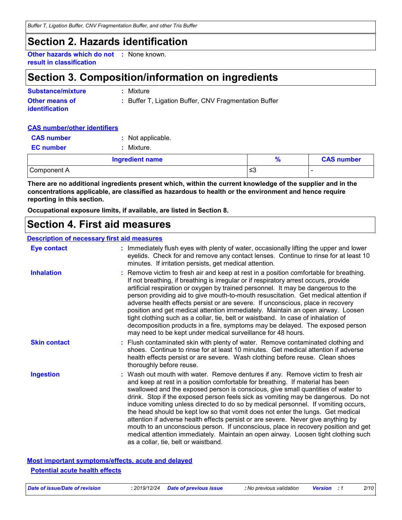*Buffer T, Ligation Buffer, CNV Fragmentation Buffer, and other Tris Buffer*

### **Section 2. Hazards identification**

**Other hazards which do not :** None known. **result in classification**

# **Section 3. Composition/information on ingredients**

| <b>Substance/mixture</b>                       | : Mixture                                             |
|------------------------------------------------|-------------------------------------------------------|
| <b>Other means of</b><br><b>identification</b> | : Buffer T, Ligation Buffer, CNV Fragmentation Buffer |

### **CAS number/other identifiers**

| <b>CAS number</b> | : Not applicable.      |               |                   |
|-------------------|------------------------|---------------|-------------------|
| <b>EC</b> number  | Mixture.               |               |                   |
|                   | <b>Ingredient name</b> | $\frac{9}{6}$ | <b>CAS number</b> |
| Component A       |                        | ≤3            | -                 |

**There are no additional ingredients present which, within the current knowledge of the supplier and in the concentrations applicable, are classified as hazardous to health or the environment and hence require reporting in this section.**

**Occupational exposure limits, if available, are listed in Section 8.**

### **Section 4. First aid measures**

#### **Description of necessary first aid measures**

| <b>Eye contact</b>  | : Immediately flush eyes with plenty of water, occasionally lifting the upper and lower<br>eyelids. Check for and remove any contact lenses. Continue to rinse for at least 10<br>minutes. If irritation persists, get medical attention.                                                                                                                                                                                                                                                                                                                                                                                                                                                                                                                                                                                    |
|---------------------|------------------------------------------------------------------------------------------------------------------------------------------------------------------------------------------------------------------------------------------------------------------------------------------------------------------------------------------------------------------------------------------------------------------------------------------------------------------------------------------------------------------------------------------------------------------------------------------------------------------------------------------------------------------------------------------------------------------------------------------------------------------------------------------------------------------------------|
| <b>Inhalation</b>   | : Remove victim to fresh air and keep at rest in a position comfortable for breathing.<br>If not breathing, if breathing is irregular or if respiratory arrest occurs, provide<br>artificial respiration or oxygen by trained personnel. It may be dangerous to the<br>person providing aid to give mouth-to-mouth resuscitation. Get medical attention if<br>adverse health effects persist or are severe. If unconscious, place in recovery<br>position and get medical attention immediately. Maintain an open airway. Loosen<br>tight clothing such as a collar, tie, belt or waistband. In case of inhalation of<br>decomposition products in a fire, symptoms may be delayed. The exposed person<br>may need to be kept under medical surveillance for 48 hours.                                                       |
| <b>Skin contact</b> | : Flush contaminated skin with plenty of water. Remove contaminated clothing and<br>shoes. Continue to rinse for at least 10 minutes. Get medical attention if adverse<br>health effects persist or are severe. Wash clothing before reuse. Clean shoes<br>thoroughly before reuse.                                                                                                                                                                                                                                                                                                                                                                                                                                                                                                                                          |
| <b>Ingestion</b>    | : Wash out mouth with water. Remove dentures if any. Remove victim to fresh air<br>and keep at rest in a position comfortable for breathing. If material has been<br>swallowed and the exposed person is conscious, give small quantities of water to<br>drink. Stop if the exposed person feels sick as vomiting may be dangerous. Do not<br>induce vomiting unless directed to do so by medical personnel. If vomiting occurs,<br>the head should be kept low so that vomit does not enter the lungs. Get medical<br>attention if adverse health effects persist or are severe. Never give anything by<br>mouth to an unconscious person. If unconscious, place in recovery position and get<br>medical attention immediately. Maintain an open airway. Loosen tight clothing such<br>as a collar, tie, belt or waistband. |

**Most important symptoms/effects, acute and delayed Potential acute health effects**

| Date of issue/Date of revision |  | : 2019/12/24 Date of previous issue | : No r |
|--------------------------------|--|-------------------------------------|--------|
|--------------------------------|--|-------------------------------------|--------|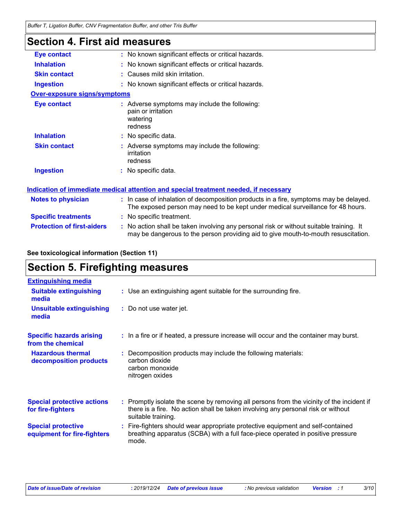### **Section 4. First aid measures**

| <b>Eye contact</b>                  | : No known significant effects or critical hazards.                                                                                                                           |
|-------------------------------------|-------------------------------------------------------------------------------------------------------------------------------------------------------------------------------|
| <b>Inhalation</b>                   | : No known significant effects or critical hazards.                                                                                                                           |
| <b>Skin contact</b>                 | : Causes mild skin irritation.                                                                                                                                                |
| <b>Ingestion</b>                    | : No known significant effects or critical hazards.                                                                                                                           |
| <b>Over-exposure signs/symptoms</b> |                                                                                                                                                                               |
| <b>Eye contact</b>                  | : Adverse symptoms may include the following:<br>pain or irritation<br>watering<br>redness                                                                                    |
| <b>Inhalation</b>                   | : No specific data.                                                                                                                                                           |
| <b>Skin contact</b>                 | : Adverse symptoms may include the following:<br>irritation<br>redness                                                                                                        |
| <b>Ingestion</b>                    | : No specific data.                                                                                                                                                           |
|                                     | Indication of immediate medical attention and special treatment needed, if necessary                                                                                          |
| <b>Notes to physician</b>           | : In case of inhalation of decomposition products in a fire, symptoms may be delayed.<br>The exposed person may need to be kept under medical surveillance for 48 hours.      |
| <b>Specific treatments</b>          | : No specific treatment.                                                                                                                                                      |
| <b>Protection of first-aiders</b>   | : No action shall be taken involving any personal risk or without suitable training. It<br>may be dangerous to the person providing aid to give mouth-to-mouth resuscitation. |

### **See toxicological information (Section 11)**

# **Section 5. Firefighting measures**

| <b>Extinguishing media</b>                               |                                                                                                                                                                                                     |
|----------------------------------------------------------|-----------------------------------------------------------------------------------------------------------------------------------------------------------------------------------------------------|
| <b>Suitable extinguishing</b><br>media                   | : Use an extinguishing agent suitable for the surrounding fire.                                                                                                                                     |
| <b>Unsuitable extinguishing</b><br>media                 | : Do not use water jet.                                                                                                                                                                             |
| <b>Specific hazards arising</b><br>from the chemical     | : In a fire or if heated, a pressure increase will occur and the container may burst.                                                                                                               |
| <b>Hazardous thermal</b><br>decomposition products       | : Decomposition products may include the following materials:<br>carbon dioxide<br>carbon monoxide<br>nitrogen oxides                                                                               |
| <b>Special protective actions</b><br>for fire-fighters   | : Promptly isolate the scene by removing all persons from the vicinity of the incident if<br>there is a fire. No action shall be taken involving any personal risk or without<br>suitable training. |
| <b>Special protective</b><br>equipment for fire-fighters | : Fire-fighters should wear appropriate protective equipment and self-contained<br>breathing apparatus (SCBA) with a full face-piece operated in positive pressure<br>mode.                         |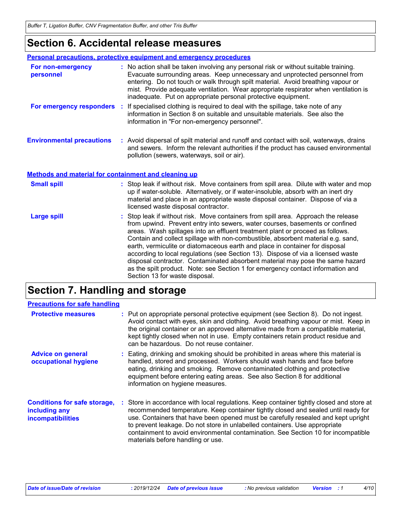### **Section 6. Accidental release measures**

|                                                      | Personal precautions, protective equipment and emergency procedures                                                                                                                                                                                                                                                                                                                                                                                                                                                                                                                                                                                                                                               |
|------------------------------------------------------|-------------------------------------------------------------------------------------------------------------------------------------------------------------------------------------------------------------------------------------------------------------------------------------------------------------------------------------------------------------------------------------------------------------------------------------------------------------------------------------------------------------------------------------------------------------------------------------------------------------------------------------------------------------------------------------------------------------------|
| For non-emergency<br>personnel                       | : No action shall be taken involving any personal risk or without suitable training.<br>Evacuate surrounding areas. Keep unnecessary and unprotected personnel from<br>entering. Do not touch or walk through spilt material. Avoid breathing vapour or<br>mist. Provide adequate ventilation. Wear appropriate respirator when ventilation is<br>inadequate. Put on appropriate personal protective equipment.                                                                                                                                                                                                                                                                                                   |
| For emergency responders :                           | If specialised clothing is required to deal with the spillage, take note of any<br>information in Section 8 on suitable and unsuitable materials. See also the<br>information in "For non-emergency personnel".                                                                                                                                                                                                                                                                                                                                                                                                                                                                                                   |
| <b>Environmental precautions</b>                     | : Avoid dispersal of spilt material and runoff and contact with soil, waterways, drains<br>and sewers. Inform the relevant authorities if the product has caused environmental<br>pollution (sewers, waterways, soil or air).                                                                                                                                                                                                                                                                                                                                                                                                                                                                                     |
| Methods and material for containment and cleaning up |                                                                                                                                                                                                                                                                                                                                                                                                                                                                                                                                                                                                                                                                                                                   |
| <b>Small spill</b>                                   | : Stop leak if without risk. Move containers from spill area. Dilute with water and mop<br>up if water-soluble. Alternatively, or if water-insoluble, absorb with an inert dry<br>material and place in an appropriate waste disposal container. Dispose of via a<br>licensed waste disposal contractor.                                                                                                                                                                                                                                                                                                                                                                                                          |
| <b>Large spill</b>                                   | : Stop leak if without risk. Move containers from spill area. Approach the release<br>from upwind. Prevent entry into sewers, water courses, basements or confined<br>areas. Wash spillages into an effluent treatment plant or proceed as follows.<br>Contain and collect spillage with non-combustible, absorbent material e.g. sand,<br>earth, vermiculite or diatomaceous earth and place in container for disposal<br>according to local regulations (see Section 13). Dispose of via a licensed waste<br>disposal contractor. Contaminated absorbent material may pose the same hazard<br>as the spilt product. Note: see Section 1 for emergency contact information and<br>Section 13 for waste disposal. |

# **Section 7. Handling and storage**

| <b>Precautions for safe handling</b>                                             |                                                                                                                                                                                                                                                                                                                                                                                                                                                                            |
|----------------------------------------------------------------------------------|----------------------------------------------------------------------------------------------------------------------------------------------------------------------------------------------------------------------------------------------------------------------------------------------------------------------------------------------------------------------------------------------------------------------------------------------------------------------------|
| <b>Protective measures</b>                                                       | : Put on appropriate personal protective equipment (see Section 8). Do not ingest.<br>Avoid contact with eyes, skin and clothing. Avoid breathing vapour or mist. Keep in<br>the original container or an approved alternative made from a compatible material,<br>kept tightly closed when not in use. Empty containers retain product residue and<br>can be hazardous. Do not reuse container.                                                                           |
| <b>Advice on general</b><br>occupational hygiene                                 | : Eating, drinking and smoking should be prohibited in areas where this material is<br>handled, stored and processed. Workers should wash hands and face before<br>eating, drinking and smoking. Remove contaminated clothing and protective<br>equipment before entering eating areas. See also Section 8 for additional<br>information on hygiene measures.                                                                                                              |
| <b>Conditions for safe storage,</b><br>including any<br><b>incompatibilities</b> | : Store in accordance with local regulations. Keep container tightly closed and store at<br>recommended temperature. Keep container tightly closed and sealed until ready for<br>use. Containers that have been opened must be carefully resealed and kept upright<br>to prevent leakage. Do not store in unlabelled containers. Use appropriate<br>containment to avoid environmental contamination. See Section 10 for incompatible<br>materials before handling or use. |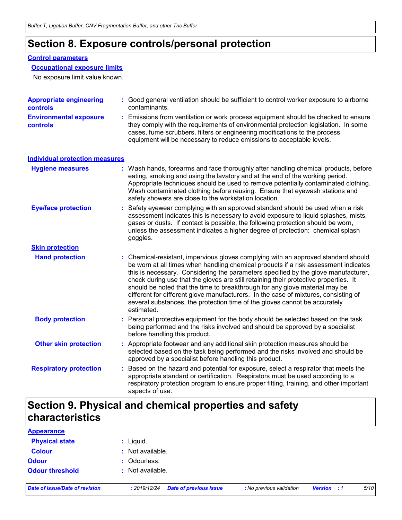### **Section 8. Exposure controls/personal protection**

### **Control parameters**

**Occupational exposure limits**

No exposure limit value known.

| <b>Appropriate engineering</b><br>controls | : Good general ventilation should be sufficient to control worker exposure to airborne<br>contaminants.                                                                                                                                                                                                                                                                                                                                                                                                                                                                                                                   |
|--------------------------------------------|---------------------------------------------------------------------------------------------------------------------------------------------------------------------------------------------------------------------------------------------------------------------------------------------------------------------------------------------------------------------------------------------------------------------------------------------------------------------------------------------------------------------------------------------------------------------------------------------------------------------------|
| <b>Environmental exposure</b><br>controls  | : Emissions from ventilation or work process equipment should be checked to ensure<br>they comply with the requirements of environmental protection legislation. In some<br>cases, fume scrubbers, filters or engineering modifications to the process<br>equipment will be necessary to reduce emissions to acceptable levels.                                                                                                                                                                                                                                                                                           |
| <b>Individual protection measures</b>      |                                                                                                                                                                                                                                                                                                                                                                                                                                                                                                                                                                                                                           |
| <b>Hygiene measures</b>                    | : Wash hands, forearms and face thoroughly after handling chemical products, before<br>eating, smoking and using the lavatory and at the end of the working period.<br>Appropriate techniques should be used to remove potentially contaminated clothing.<br>Wash contaminated clothing before reusing. Ensure that eyewash stations and<br>safety showers are close to the workstation location.                                                                                                                                                                                                                         |
| <b>Eye/face protection</b>                 | : Safety eyewear complying with an approved standard should be used when a risk<br>assessment indicates this is necessary to avoid exposure to liquid splashes, mists,<br>gases or dusts. If contact is possible, the following protection should be worn,<br>unless the assessment indicates a higher degree of protection: chemical splash<br>goggles.                                                                                                                                                                                                                                                                  |
| <b>Skin protection</b>                     |                                                                                                                                                                                                                                                                                                                                                                                                                                                                                                                                                                                                                           |
| <b>Hand protection</b>                     | : Chemical-resistant, impervious gloves complying with an approved standard should<br>be worn at all times when handling chemical products if a risk assessment indicates<br>this is necessary. Considering the parameters specified by the glove manufacturer,<br>check during use that the gloves are still retaining their protective properties. It<br>should be noted that the time to breakthrough for any glove material may be<br>different for different glove manufacturers. In the case of mixtures, consisting of<br>several substances, the protection time of the gloves cannot be accurately<br>estimated. |
| <b>Body protection</b>                     | : Personal protective equipment for the body should be selected based on the task<br>being performed and the risks involved and should be approved by a specialist<br>before handling this product.                                                                                                                                                                                                                                                                                                                                                                                                                       |
| <b>Other skin protection</b>               | : Appropriate footwear and any additional skin protection measures should be<br>selected based on the task being performed and the risks involved and should be<br>approved by a specialist before handling this product.                                                                                                                                                                                                                                                                                                                                                                                                 |
| <b>Respiratory protection</b>              | Based on the hazard and potential for exposure, select a respirator that meets the<br>appropriate standard or certification. Respirators must be used according to a<br>respiratory protection program to ensure proper fitting, training, and other important<br>aspects of use.                                                                                                                                                                                                                                                                                                                                         |

# **Section 9. Physical and chemical properties and safety characteristics**

| <b>Appearance</b>      |                  |
|------------------------|------------------|
| <b>Physical state</b>  | $:$ Liquid.      |
| <b>Colour</b>          | : Not available. |
| <b>Odour</b>           | : Odourless.     |
| <b>Odour threshold</b> | : Not available. |
|                        |                  |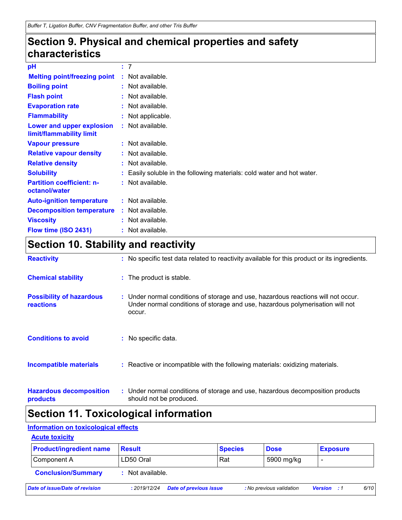# **Section 9. Physical and chemical properties and safety characteristics**

| рH                                                    | : 7                                                                    |
|-------------------------------------------------------|------------------------------------------------------------------------|
| <b>Melting point/freezing point</b>                   | : Not available.                                                       |
| <b>Boiling point</b>                                  | $:$ Not available.                                                     |
| <b>Flash point</b>                                    | : Not available.                                                       |
| <b>Evaporation rate</b>                               | $:$ Not available.                                                     |
| <b>Flammability</b>                                   | : Not applicable.                                                      |
| Lower and upper explosion<br>limit/flammability limit | $:$ Not available.                                                     |
| <b>Vapour pressure</b>                                | $:$ Not available.                                                     |
| <b>Relative vapour density</b>                        | : Not available.                                                       |
| <b>Relative density</b>                               | $:$ Not available.                                                     |
| <b>Solubility</b>                                     | : Easily soluble in the following materials: cold water and hot water. |
| <b>Partition coefficient: n-</b><br>octanol/water     | : Not available.                                                       |
| <b>Auto-ignition temperature</b>                      | $:$ Not available.                                                     |
| <b>Decomposition temperature</b>                      | : Not available.                                                       |
| <b>Viscosity</b>                                      | $:$ Not available.                                                     |
| Flow time (ISO 2431)                                  | : Not available.                                                       |

# **Section 10. Stability and reactivity**

| <b>Reactivity</b>                                   | : No specific test data related to reactivity available for this product or its ingredients.                                                                                 |
|-----------------------------------------------------|------------------------------------------------------------------------------------------------------------------------------------------------------------------------------|
| <b>Chemical stability</b>                           | : The product is stable.                                                                                                                                                     |
| <b>Possibility of hazardous</b><br><b>reactions</b> | : Under normal conditions of storage and use, hazardous reactions will not occur.<br>Under normal conditions of storage and use, hazardous polymerisation will not<br>occur. |
| <b>Conditions to avoid</b>                          | : No specific data.                                                                                                                                                          |
| <b>Incompatible materials</b>                       | : Reactive or incompatible with the following materials: oxidizing materials.                                                                                                |
| <b>Hazardous decomposition</b><br>products          | : Under normal conditions of storage and use, hazardous decomposition products<br>should not be produced.                                                                    |

# **Section 11. Toxicological information**

### **Information on toxicological effects**

### **Acute toxicity**

| <b>Product/ingredient name</b> | <b>Result</b>    |                               | <b>Species</b> | <b>Dose</b>              |                    | <b>Exposure</b> |      |
|--------------------------------|------------------|-------------------------------|----------------|--------------------------|--------------------|-----------------|------|
| Component A                    | LD50 Oral        |                               | Rat            | 5900 mg/kg               |                    |                 |      |
| <b>Conclusion/Summary</b>      | : Not available. |                               |                |                          |                    |                 |      |
| Date of issue/Date of revision | : 2019/12/24     | <b>Date of previous issue</b> |                | : No previous validation | <b>Version</b> : 1 |                 | 6/10 |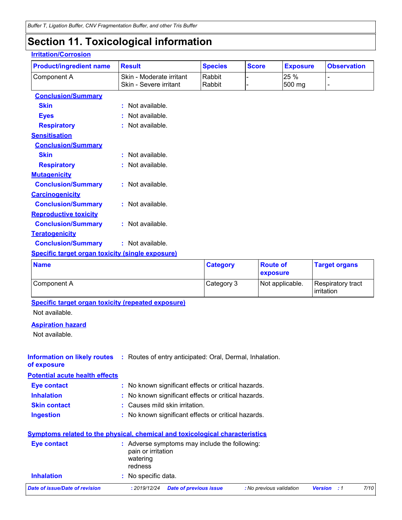# **Section 11. Toxicological information**

### **Irritation/Corrosion**

| <b>Product/ingredient name</b>                          | <b>Result</b>            | <b>Species</b>  | <b>Score</b>    | <b>Exposure</b> | <b>Observation</b>              |
|---------------------------------------------------------|--------------------------|-----------------|-----------------|-----------------|---------------------------------|
| Component A                                             | Skin - Moderate irritant | Rabbit          |                 | 25 %            |                                 |
|                                                         | Skin - Severe irritant   | Rabbit          |                 | 500 mg          | $\overline{\phantom{0}}$        |
| <b>Conclusion/Summary</b>                               |                          |                 |                 |                 |                                 |
| <b>Skin</b>                                             | : Not available.         |                 |                 |                 |                                 |
| <b>Eyes</b>                                             | : Not available.         |                 |                 |                 |                                 |
| <b>Respiratory</b>                                      | : Not available.         |                 |                 |                 |                                 |
| <b>Sensitisation</b>                                    |                          |                 |                 |                 |                                 |
| <b>Conclusion/Summary</b>                               |                          |                 |                 |                 |                                 |
| <b>Skin</b>                                             | : Not available.         |                 |                 |                 |                                 |
| <b>Respiratory</b>                                      | : Not available.         |                 |                 |                 |                                 |
| <b>Mutagenicity</b>                                     |                          |                 |                 |                 |                                 |
| <b>Conclusion/Summary</b>                               | : Not available.         |                 |                 |                 |                                 |
| <b>Carcinogenicity</b>                                  |                          |                 |                 |                 |                                 |
| <b>Conclusion/Summary</b>                               | : Not available.         |                 |                 |                 |                                 |
| <b>Reproductive toxicity</b>                            |                          |                 |                 |                 |                                 |
| <b>Conclusion/Summary</b>                               | : Not available.         |                 |                 |                 |                                 |
| <b>Teratogenicity</b>                                   |                          |                 |                 |                 |                                 |
| <b>Conclusion/Summary</b>                               | : Not available.         |                 |                 |                 |                                 |
| <b>Specific target organ toxicity (single exposure)</b> |                          |                 |                 |                 |                                 |
| <b>Name</b>                                             |                          | <b>Category</b> | <b>Route of</b> |                 | <b>Target organs</b>            |
|                                                         |                          |                 | exposure        |                 |                                 |
| Component A                                             |                          | Category 3      |                 | Not applicable. | Respiratory tract<br>irritation |
| Specific target organ toxicity (repeated exposure)      |                          |                 |                 |                 |                                 |
| Not available.                                          |                          |                 |                 |                 |                                 |
| Annivation hosped                                       |                          |                 |                 |                 |                                 |

#### **Aspiration hazard**

Not available.

**Information on likely routes** : Routes of entry anticipated: Oral, Dermal, Inhalation. **of exposure**

**Potential acute health effects**

| <b>Eve contact</b>  | : No known significant effects or critical hazards. |
|---------------------|-----------------------------------------------------|
| <b>Inhalation</b>   | : No known significant effects or critical hazards. |
| <b>Skin contact</b> | : Causes mild skin irritation.                      |
| <b>Ingestion</b>    | : No known significant effects or critical hazards. |

| <b>Symptoms related to the physical, chemical and toxicological characteristics</b> |                                           |                                               |                          |                    |      |
|-------------------------------------------------------------------------------------|-------------------------------------------|-----------------------------------------------|--------------------------|--------------------|------|
| Eye contact                                                                         | pain or irritation<br>watering<br>redness | : Adverse symptoms may include the following: |                          |                    |      |
| <b>Inhalation</b>                                                                   | : No specific data.                       |                                               |                          |                    |      |
| Date of issue/Date of revision                                                      | : 2019/12/24                              | <b>Date of previous issue</b>                 | : No previous validation | <b>Version</b> : 1 | 7/10 |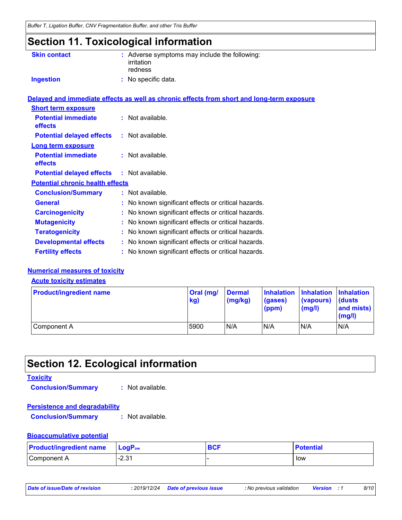# **Section 11. Toxicological information**

| <b>Skin contact</b>                          | : Adverse symptoms may include the following:<br>irritation<br>redness                     |
|----------------------------------------------|--------------------------------------------------------------------------------------------|
| <b>Ingestion</b>                             | : No specific data.                                                                        |
|                                              | Delayed and immediate effects as well as chronic effects from short and long-term exposure |
| <b>Short term exposure</b>                   |                                                                                            |
| <b>Potential immediate</b><br>effects        | : Not available.                                                                           |
| <b>Potential delayed effects</b>             | : Not available.                                                                           |
| <b>Long term exposure</b>                    |                                                                                            |
| <b>Potential immediate</b><br><b>effects</b> | $:$ Not available.                                                                         |
| <b>Potential delayed effects</b>             | : Not available.                                                                           |
| <b>Potential chronic health effects</b>      |                                                                                            |
| <b>Conclusion/Summary</b>                    | $:$ Not available.                                                                         |
| <b>General</b>                               | : No known significant effects or critical hazards.                                        |
| <b>Carcinogenicity</b>                       | : No known significant effects or critical hazards.                                        |
| <b>Mutagenicity</b>                          | : No known significant effects or critical hazards.                                        |
| <b>Teratogenicity</b>                        | : No known significant effects or critical hazards.                                        |
| <b>Developmental effects</b>                 | : No known significant effects or critical hazards.                                        |
| <b>Fertility effects</b>                     | : No known significant effects or critical hazards.                                        |

### **Numerical measures of toxicity**

#### **Acute toxicity estimates**

| <b>Product/ingredient name</b> | <b>Oral</b> (mg/<br>kg) | <b>Dermal</b><br>$\frac{mg}{kg}$ | Inhalation Inhalation Inhalation<br>(gases)<br>(ppm) | (vapours)<br>(mg/l) | <b>dusts</b><br>and mists)<br>(mg/l) |
|--------------------------------|-------------------------|----------------------------------|------------------------------------------------------|---------------------|--------------------------------------|
| Component A                    | 5900                    | N/A                              | N/A                                                  | N/A                 | N/A                                  |

# **Section 12. Ecological information**

#### **Toxicity**

**Conclusion/Summary :** Not available.

#### **Persistence and degradability**

**Conclusion/Summary :** Not available.

#### **Bioaccumulative potential**

| <b>Product/ingredient name</b> | $\mathsf{LogP}_\mathsf{ow}$ | <b>BCF</b> | <b>Potential</b> |
|--------------------------------|-----------------------------|------------|------------------|
| Component A                    | $-2.31$                     |            | low              |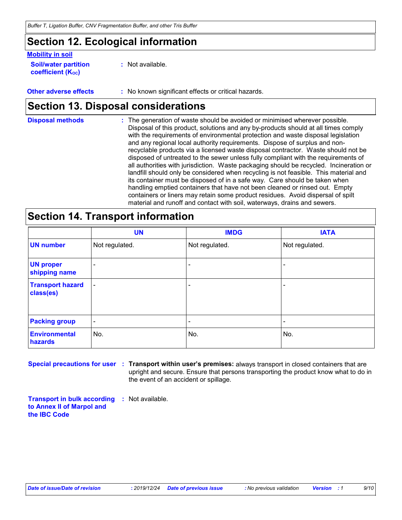## **Section 12. Ecological information**

### **Mobility in soil**

- **Soil/water partition coefficient (KOC) :** Not available.
- **Other adverse effects** : No known significant effects or critical hazards.

### **Section 13. Disposal considerations**

| <b>Disposal methods</b> | : The generation of waste should be avoided or minimised wherever possible.            |
|-------------------------|----------------------------------------------------------------------------------------|
|                         | Disposal of this product, solutions and any by-products should at all times comply     |
|                         | with the requirements of environmental protection and waste disposal legislation       |
|                         | and any regional local authority requirements. Dispose of surplus and non-             |
|                         | recyclable products via a licensed waste disposal contractor. Waste should not be      |
|                         | disposed of untreated to the sewer unless fully compliant with the requirements of     |
|                         | all authorities with jurisdiction. Waste packaging should be recycled. Incineration or |
|                         | landfill should only be considered when recycling is not feasible. This material and   |
|                         | its container must be disposed of in a safe way. Care should be taken when             |
|                         | handling emptied containers that have not been cleaned or rinsed out. Empty            |
|                         | containers or liners may retain some product residues. Avoid dispersal of spilt        |
|                         | material and runoff and contact with soil, waterways, drains and sewers.               |

# **Section 14. Transport information**

|                                      | <b>UN</b>                | <b>IMDG</b>    | <b>IATA</b>              |
|--------------------------------------|--------------------------|----------------|--------------------------|
| <b>UN number</b>                     | Not regulated.           | Not regulated. | Not regulated.           |
| <b>UN proper</b><br>shipping name    | $\overline{\phantom{a}}$ |                |                          |
| <b>Transport hazard</b><br>class(es) | $\blacksquare$           |                | $\overline{\phantom{0}}$ |
| <b>Packing group</b>                 | $\overline{\phantom{a}}$ |                | $\overline{\phantom{0}}$ |
| <b>Environmental</b><br>hazards      | No.                      | No.            | No.                      |

**Special precautions for user Transport within user's premises:** always transport in closed containers that are **:** upright and secure. Ensure that persons transporting the product know what to do in the event of an accident or spillage.

**Transport in bulk according :** Not available. **to Annex II of Marpol and the IBC Code**